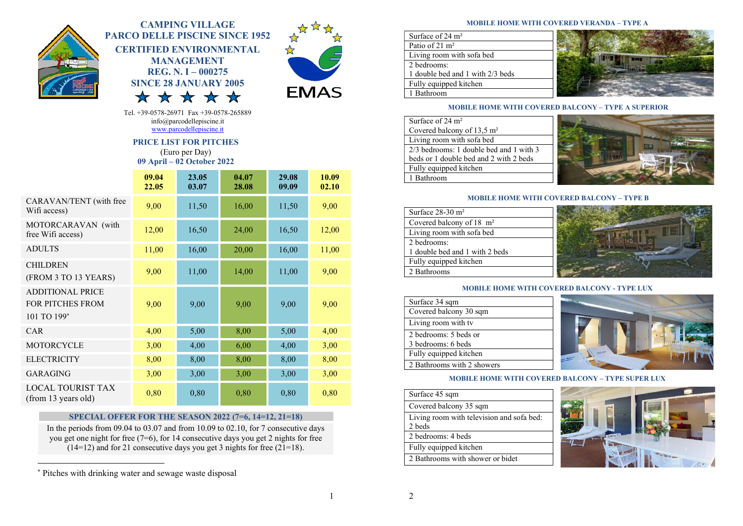

# CAMPING VILLAGE PARCO DELLE PISCINE SINCE 1952 CERTIFIED ENVIRONMENTAL MANAGEMENT REG. N. I – 000275



Tel. +39-0578-26971 Fax +39-0578-265889 info@parcodellepiscine.it www.parcodellepiscine.it

SINCE 28 JANUARY 2005

77

 $\overline{\mathbf{X}}$ 

# PRICE LIST FOR PITCHES

(Euro per Day) 09 April – 02 October 2022

|                                                            | 09.04<br>22.05 | 23.05<br>03.07 | 04.07<br>28.08 | 29.08<br>09.09 | 10.09<br>02.10 |
|------------------------------------------------------------|----------------|----------------|----------------|----------------|----------------|
| CARAVAN/TENT (with free<br>Wifi access)                    | 9,00           | 11,50          | 16,00          | 11,50          | 9,00           |
| MOTORCARAVAN (with<br>free Wifi access)                    | 12,00          | 16,50          | 24,00          | 16,50          | 12,00          |
| <b>ADULTS</b>                                              | 11,00          | 16,00          | 20,00          | 16,00          | 11,00          |
| <b>CHILDREN</b><br>(FROM 3 TO 13 YEARS)                    | 9,00           | 11,00          | 14,00          | 11,00          | 9,00           |
| <b>ADDITIONAL PRICE</b><br>FOR PITCHES FROM<br>101 TO 199* | 9,00           | 9,00           | 9,00           | 9,00           | 9,00           |
| CAR                                                        | 4,00           | 5,00           | 8,00           | 5,00           | 4,00           |
| <b>MOTORCYCLE</b>                                          | 3,00           | 4,00           | 6,00           | 4,00           | 3,00           |
| <b>ELECTRICITY</b>                                         | 8,00           | 8,00           | 8,00           | 8,00           | 8,00           |
| <b>GARAGING</b>                                            | 3,00           | 3,00           | 3,00           | 3,00           | 3,00           |
| <b>LOCAL TOURIST TAX</b><br>(from 13 years old)            | 0,80           | 0,80           | 0,80           | 0,80           | 0,80           |

# SPECIAL OFFER FOR THE SEASON 2022 (7=6, 14=12, 21=18)

In the periods from  $09.04$  to  $03.07$  and from  $10.09$  to  $02.10$ , for 7 consecutive days you get one night for free (7=6), for 14 consecutive days you get 2 nights for free  $(14=12)$  and for 21 consecutive days you get 3 nights for free (21=18).

#### MOBILE HOME WITH COVERED VERANDA – TYPE A

| Surface of $24 \text{ m}^2$      |  |
|----------------------------------|--|
| Patio of $21 \text{ m}^2$        |  |
| Living room with sofa bed        |  |
| 2 bedrooms:                      |  |
| 1 double bed and 1 with 2/3 beds |  |
| Fully equipped kitchen           |  |
| Bathroom                         |  |

#### MOBILE HOME WITH COVERED BALCONY – TYPE A SUPERIOR

| Surface of $24 \text{ m}^2$             |  |
|-----------------------------------------|--|
| Covered balcony of $13.5 \text{ m}^2$   |  |
| Living room with sofa bed               |  |
| 2/3 bedrooms: 1 double bed and 1 with 3 |  |
| beds or 1 double bed and 2 with 2 beds  |  |
| Fully equipped kitchen                  |  |
| l Bathroom                              |  |

#### MOBILE HOME WITH COVERED BALCONY – TYPE B

| Surface 28-30 m <sup>2</sup>        |  |
|-------------------------------------|--|
| Covered balcony of $18 \text{ m}^2$ |  |
| Living room with sofa bed           |  |
| 2 bedrooms:                         |  |
| 1 double bed and 1 with 2 beds      |  |
| Fully equipped kitchen              |  |
| 2 Bathrooms                         |  |



### MOBILE HOME WITH COVERED BALCONY - TYPE LUX

| Surface 34 sqm             |
|----------------------------|
| Covered balcony 30 sqm     |
| Living room with tv        |
| 2 bedrooms: 5 beds or      |
| 3 bedrooms: 6 beds         |
| Fully equipped kitchen     |
| 2 Bathrooms with 2 showers |



### MOBILE HOME WITH COVERED BALCONY – TYPE SUPER LUX

| Surface 45 sqm                                      |
|-----------------------------------------------------|
| Covered balcony 35 sqm                              |
| Living room with television and sofa bed:<br>2 beds |
| 2 bedrooms: 4 beds                                  |
| Fully equipped kitchen                              |
| 2. Bathrooms with shower or bidet.                  |



1

 Pitches with drinking water and sewage waste disposal